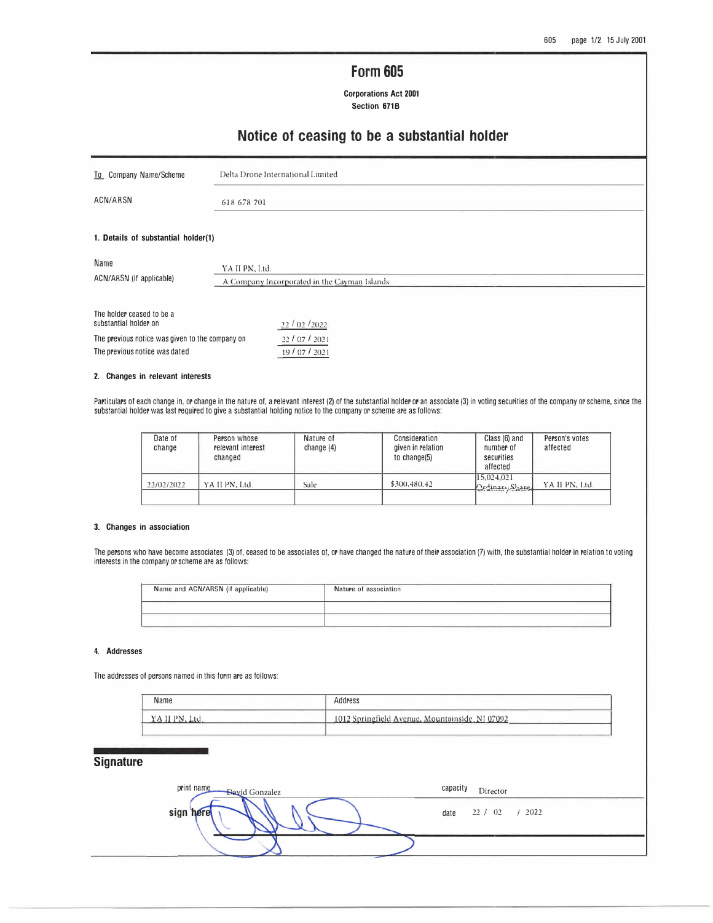# **Form 605**

**Corporations Act 2001**  Section 671B

## **Notice of ceasing to be a substantial holder**

| To Company Name/Scheme                                                           | Delta Drone International Limited                              |  |  |
|----------------------------------------------------------------------------------|----------------------------------------------------------------|--|--|
| ACN/ARSN                                                                         | 618 678 701                                                    |  |  |
| 1. Details of substantial holder(1)                                              |                                                                |  |  |
| Name<br>ACN/ARSN (if applicable)                                                 | YA II PN, Ltd.<br>A Company Incorporated in the Cayman Islands |  |  |
| The holder ceased to be a<br>substantial holder on                               | 22/02/2022                                                     |  |  |
| The previous notice was given to the company on<br>The previous notice was dated | 22/07/2021<br>19/07/2021                                       |  |  |

#### **2. Changes in relevant interests**

Particulars of each change in, or change in the nature of, a relevant interest (2) of the substantial holder or an associate (3) in voting securities of the company or scheme, since the substantial holder was last required to give a substantial holding notice to the company or scheme are as follows:

| Date of<br>change | Person whose<br>relevant interest<br>changed | Nature of<br>change $(4)$ | Consideration<br>given in relation<br>to change(5) | Class (6) and<br>number of<br>securities<br>affected | Person's votes<br>affected |
|-------------------|----------------------------------------------|---------------------------|----------------------------------------------------|------------------------------------------------------|----------------------------|
| 22/02/2022        | YA II PN, Ltd.                               | Sale                      | \$300,480.42                                       | 15,024,021<br>Ordinary Shares                        | YA II PN, Ltd.             |

#### **3. Changes in association**

The persons who have become associates (3) of, ceased to be associates of, or have changed the nature of their association (7) with, the substantial holder in relation to voting interests in the company or scheme are as follows:

| Name and ACN/ARSN (if applicable) | Nature of association |
|-----------------------------------|-----------------------|
|                                   |                       |
|                                   |                       |

#### **4. Addresses**

The addresses of persons named in this form are as follows:

| Name | and the property of the con-<br>-----<br>Address |  |
|------|--------------------------------------------------|--|
|      | 1012 Springfield Avenue, Mountainside, NJ 07092  |  |

### **Signature**

| print name<br><b>David Gonzalez</b> | capacity<br>Director                                                                  |
|-------------------------------------|---------------------------------------------------------------------------------------|
| sign<br>here                        | the control of the control of the control of the control of<br>/2022<br>22/02<br>date |
|                                     |                                                                                       |